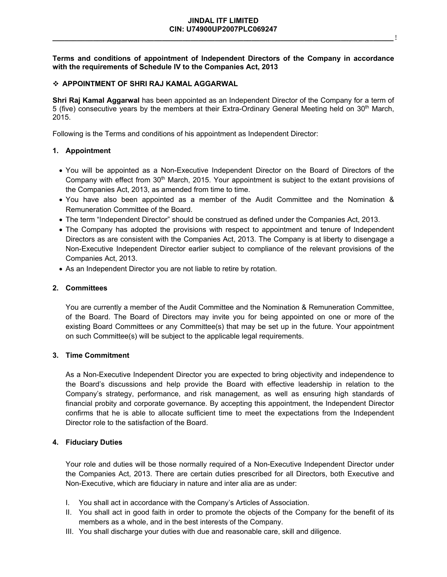**Terms and conditions of appointment of Independent Directors of the Company in accordance with the requirements of Schedule IV to the Companies Act, 2013**

### **APPOINTMENT OF SHRI RAJ KAMAL AGGARWAL**

**Shri Raj Kamal Aggarwal** has been appointed as an Independent Director of the Company for a term of 5 (five) consecutive years by the members at their Extra-Ordinary General Meeting held on 30th March, 2015.

Following is the Terms and conditions of his appointment as Independent Director:

#### **1. Appointment**

- You will be appointed as a Non-Executive Independent Director on the Board of Directors of the Company with effect from 30<sup>th</sup> March, 2015. Your appointment is subject to the extant provisions of the Companies Act, 2013, as amended from time to time.
- You have also been appointed as a member of the Audit Committee and the Nomination & Remuneration Committee of the Board.
- The term "Independent Director" should be construed as defined under the Companies Act, 2013.
- The Company has adopted the provisions with respect to appointment and tenure of Independent Directors as are consistent with the Companies Act, 2013. The Company is at liberty to disengage a Non-Executive Independent Director earlier subject to compliance of the relevant provisions of the Companies Act, 2013.
- As an Independent Director you are not liable to retire by rotation.

### **2. Committees**

You are currently a member of the Audit Committee and the Nomination & Remuneration Committee, of the Board. The Board of Directors may invite you for being appointed on one or more of the existing Board Committees or any Committee(s) that may be set up in the future. Your appointment on such Committee(s) will be subject to the applicable legal requirements.

#### **3. Time Commitment**

As a Non-Executive Independent Director you are expected to bring objectivity and independence to the Board's discussions and help provide the Board with effective leadership in relation to the Company's strategy, performance, and risk management, as well as ensuring high standards of financial probity and corporate governance. By accepting this appointment, the Independent Director confirms that he is able to allocate sufficient time to meet the expectations from the Independent Director role to the satisfaction of the Board.

### **4. Fiduciary Duties**

Your role and duties will be those normally required of a Non-Executive Independent Director under the Companies Act, 2013. There are certain duties prescribed for all Directors, both Executive and Non-Executive, which are fiduciary in nature and inter alia are as under:

- I. You shall act in accordance with the Company's Articles of Association.
- II. You shall act in good faith in order to promote the objects of the Company for the benefit of its members as a whole, and in the best interests of the Company.
- III. You shall discharge your duties with due and reasonable care, skill and diligence.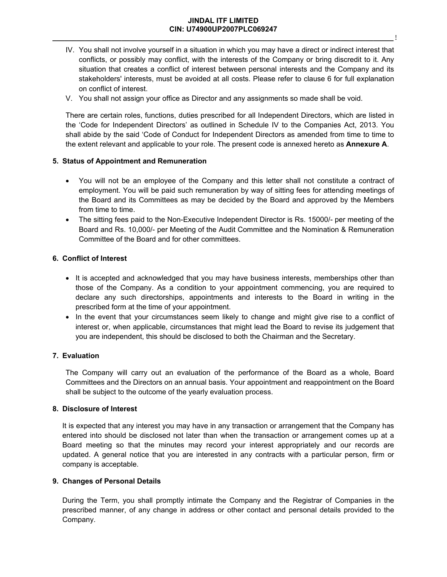### **JINDAL ITF LIMITED CIN: U74900UP2007PLC069247 \_\_\_\_\_\_\_\_\_\_\_\_\_\_\_\_\_\_\_\_\_\_\_\_\_\_\_\_\_\_\_\_\_\_\_\_\_\_\_\_\_\_\_\_\_\_\_\_\_\_\_\_\_\_\_\_\_\_\_\_\_\_\_\_\_\_\_\_\_\_\_\_\_\_\_\_\_\_\_\_\_\_\_\_**!

- IV. You shall not involve yourself in a situation in which you may have a direct or indirect interest that conflicts, or possibly may conflict, with the interests of the Company or bring discredit to it. Any situation that creates a conflict of interest between personal interests and the Company and its stakeholders' interests, must be avoided at all costs. Please refer to clause 6 for full explanation on conflict of interest.
- V. You shall not assign your office as Director and any assignments so made shall be void.

There are certain roles, functions, duties prescribed for all Independent Directors, which are listed in the 'Code for Independent Directors' as outlined in Schedule IV to the Companies Act, 2013. You shall abide by the said 'Code of Conduct for Independent Directors as amended from time to time to the extent relevant and applicable to your role. The present code is annexed hereto as **Annexure A**.

# **5. Status of Appointment and Remuneration**

- You will not be an employee of the Company and this letter shall not constitute a contract of employment. You will be paid such remuneration by way of sitting fees for attending meetings of the Board and its Committees as may be decided by the Board and approved by the Members from time to time.
- The sitting fees paid to the Non-Executive Independent Director is Rs. 15000/- per meeting of the Board and Rs. 10,000/- per Meeting of the Audit Committee and the Nomination & Remuneration Committee of the Board and for other committees.

# **6. Conflict of Interest**

- It is accepted and acknowledged that you may have business interests, memberships other than those of the Company. As a condition to your appointment commencing, you are required to declare any such directorships, appointments and interests to the Board in writing in the prescribed form at the time of your appointment.
- In the event that your circumstances seem likely to change and might give rise to a conflict of interest or, when applicable, circumstances that might lead the Board to revise its judgement that you are independent, this should be disclosed to both the Chairman and the Secretary.

# **7. Evaluation**

The Company will carry out an evaluation of the performance of the Board as a whole, Board Committees and the Directors on an annual basis. Your appointment and reappointment on the Board shall be subject to the outcome of the yearly evaluation process.

# **8. Disclosure of Interest**

It is expected that any interest you may have in any transaction or arrangement that the Company has entered into should be disclosed not later than when the transaction or arrangement comes up at a Board meeting so that the minutes may record your interest appropriately and our records are updated. A general notice that you are interested in any contracts with a particular person, firm or company is acceptable.

# **9. Changes of Personal Details**

During the Term, you shall promptly intimate the Company and the Registrar of Companies in the prescribed manner, of any change in address or other contact and personal details provided to the Company.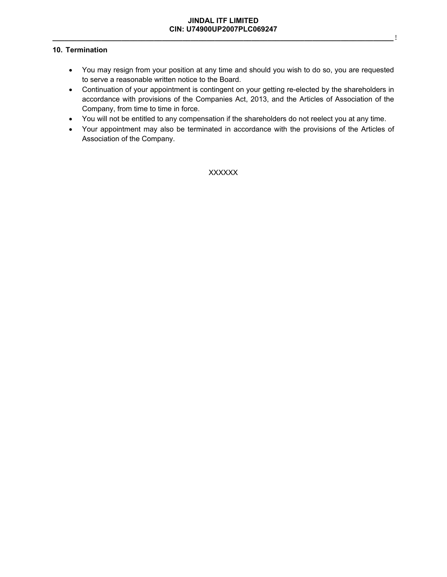# **10. Termination**

- You may resign from your position at any time and should you wish to do so, you are requested to serve a reasonable written notice to the Board.
- Continuation of your appointment is contingent on your getting re-elected by the shareholders in accordance with provisions of the Companies Act, 2013, and the Articles of Association of the Company, from time to time in force.
- You will not be entitled to any compensation if the shareholders do not reelect you at any time.
- Your appointment may also be terminated in accordance with the provisions of the Articles of Association of the Company.

XXXXXX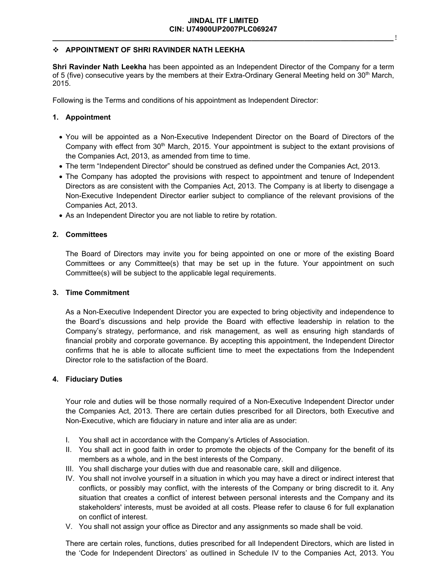# **APPOINTMENT OF SHRI RAVINDER NATH LEEKHA**

**Shri Ravinder Nath Leekha** has been appointed as an Independent Director of the Company for a term of 5 (five) consecutive years by the members at their Extra-Ordinary General Meeting held on 30<sup>th</sup> March, 2015.

Following is the Terms and conditions of his appointment as Independent Director:

### **1. Appointment**

- You will be appointed as a Non-Executive Independent Director on the Board of Directors of the Company with effect from 30<sup>th</sup> March, 2015. Your appointment is subject to the extant provisions of the Companies Act, 2013, as amended from time to time.
- The term "Independent Director" should be construed as defined under the Companies Act, 2013.
- The Company has adopted the provisions with respect to appointment and tenure of Independent Directors as are consistent with the Companies Act, 2013. The Company is at liberty to disengage a Non-Executive Independent Director earlier subject to compliance of the relevant provisions of the Companies Act, 2013.
- As an Independent Director you are not liable to retire by rotation.

### **2. Committees**

The Board of Directors may invite you for being appointed on one or more of the existing Board Committees or any Committee(s) that may be set up in the future. Your appointment on such Committee(s) will be subject to the applicable legal requirements.

### **3. Time Commitment**

As a Non-Executive Independent Director you are expected to bring objectivity and independence to the Board's discussions and help provide the Board with effective leadership in relation to the Company's strategy, performance, and risk management, as well as ensuring high standards of financial probity and corporate governance. By accepting this appointment, the Independent Director confirms that he is able to allocate sufficient time to meet the expectations from the Independent Director role to the satisfaction of the Board.

### **4. Fiduciary Duties**

Your role and duties will be those normally required of a Non-Executive Independent Director under the Companies Act, 2013. There are certain duties prescribed for all Directors, both Executive and Non-Executive, which are fiduciary in nature and inter alia are as under:

- I. You shall act in accordance with the Company's Articles of Association.
- II. You shall act in good faith in order to promote the objects of the Company for the benefit of its members as a whole, and in the best interests of the Company.
- III. You shall discharge your duties with due and reasonable care, skill and diligence.
- IV. You shall not involve yourself in a situation in which you may have a direct or indirect interest that conflicts, or possibly may conflict, with the interests of the Company or bring discredit to it. Any situation that creates a conflict of interest between personal interests and the Company and its stakeholders' interests, must be avoided at all costs. Please refer to clause 6 for full explanation on conflict of interest.
- V. You shall not assign your office as Director and any assignments so made shall be void.

There are certain roles, functions, duties prescribed for all Independent Directors, which are listed in the 'Code for Independent Directors' as outlined in Schedule IV to the Companies Act, 2013. You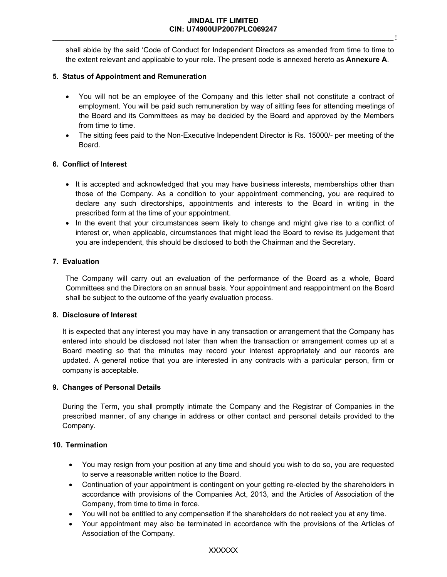shall abide by the said 'Code of Conduct for Independent Directors as amended from time to time to the extent relevant and applicable to your role. The present code is annexed hereto as **Annexure A**.

### **5. Status of Appointment and Remuneration**

- You will not be an employee of the Company and this letter shall not constitute a contract of employment. You will be paid such remuneration by way of sitting fees for attending meetings of the Board and its Committees as may be decided by the Board and approved by the Members from time to time.
- The sitting fees paid to the Non-Executive Independent Director is Rs. 15000/- per meeting of the Board.

### **6. Conflict of Interest**

- It is accepted and acknowledged that you may have business interests, memberships other than those of the Company. As a condition to your appointment commencing, you are required to declare any such directorships, appointments and interests to the Board in writing in the prescribed form at the time of your appointment.
- In the event that your circumstances seem likely to change and might give rise to a conflict of interest or, when applicable, circumstances that might lead the Board to revise its judgement that you are independent, this should be disclosed to both the Chairman and the Secretary.

### **7. Evaluation**

The Company will carry out an evaluation of the performance of the Board as a whole, Board Committees and the Directors on an annual basis. Your appointment and reappointment on the Board shall be subject to the outcome of the yearly evaluation process.

### **8. Disclosure of Interest**

It is expected that any interest you may have in any transaction or arrangement that the Company has entered into should be disclosed not later than when the transaction or arrangement comes up at a Board meeting so that the minutes may record your interest appropriately and our records are updated. A general notice that you are interested in any contracts with a particular person, firm or company is acceptable.

### **9. Changes of Personal Details**

During the Term, you shall promptly intimate the Company and the Registrar of Companies in the prescribed manner, of any change in address or other contact and personal details provided to the Company.

# **10. Termination**

- You may resign from your position at any time and should you wish to do so, you are requested to serve a reasonable written notice to the Board.
- Continuation of your appointment is contingent on your getting re-elected by the shareholders in accordance with provisions of the Companies Act, 2013, and the Articles of Association of the Company, from time to time in force.
- You will not be entitled to any compensation if the shareholders do not reelect you at any time.
- Your appointment may also be terminated in accordance with the provisions of the Articles of Association of the Company.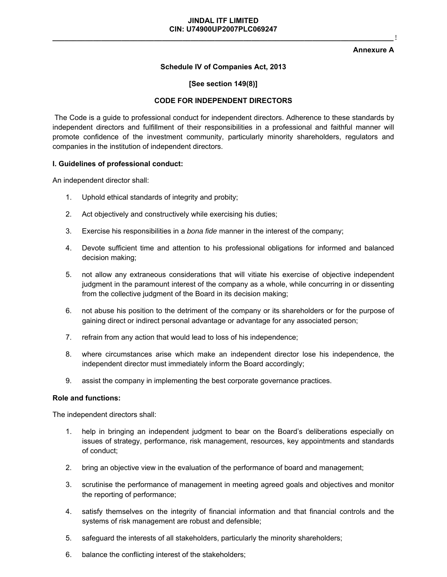#### **Annexure A**

### **Schedule IV of Companies Act, 2013**

#### **[See section 149(8)]**

#### **CODE FOR INDEPENDENT DIRECTORS**

The Code is a guide to professional conduct for independent directors. Adherence to these standards by independent directors and fulfillment of their responsibilities in a professional and faithful manner will promote confidence of the investment community, particularly minority shareholders, regulators and companies in the institution of independent directors.

#### **I. Guidelines of professional conduct:**

An independent director shall:

- 1. Uphold ethical standards of integrity and probity;
- 2. Act objectively and constructively while exercising his duties;
- 3. Exercise his responsibilities in a *bona fide* manner in the interest of the company;
- 4. Devote sufficient time and attention to his professional obligations for informed and balanced decision making;
- 5. not allow any extraneous considerations that will vitiate his exercise of objective independent judgment in the paramount interest of the company as a whole, while concurring in or dissenting from the collective judgment of the Board in its decision making;
- 6. not abuse his position to the detriment of the company or its shareholders or for the purpose of gaining direct or indirect personal advantage or advantage for any associated person;
- 7. refrain from any action that would lead to loss of his independence;
- 8. where circumstances arise which make an independent director lose his independence, the independent director must immediately inform the Board accordingly;
- 9. assist the company in implementing the best corporate governance practices.

#### **Role and functions:**

The independent directors shall:

- 1. help in bringing an independent judgment to bear on the Board's deliberations especially on issues of strategy, performance, risk management, resources, key appointments and standards of conduct;
- 2. bring an objective view in the evaluation of the performance of board and management;
- 3. scrutinise the performance of management in meeting agreed goals and objectives and monitor the reporting of performance;
- 4. satisfy themselves on the integrity of financial information and that financial controls and the systems of risk management are robust and defensible;
- 5. safeguard the interests of all stakeholders, particularly the minority shareholders;
- 6. balance the conflicting interest of the stakeholders;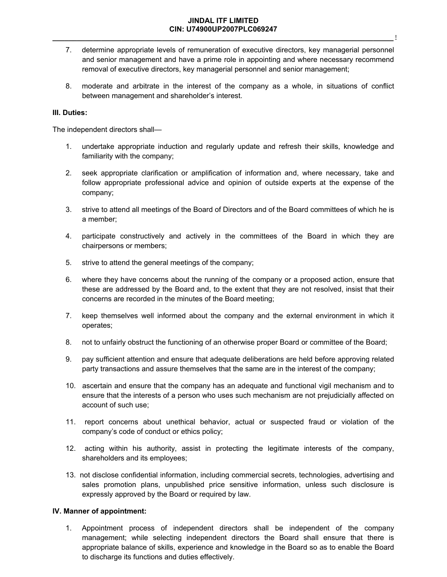### **JINDAL ITF LIMITED CIN: U74900UP2007PLC069247 \_\_\_\_\_\_\_\_\_\_\_\_\_\_\_\_\_\_\_\_\_\_\_\_\_\_\_\_\_\_\_\_\_\_\_\_\_\_\_\_\_\_\_\_\_\_\_\_\_\_\_\_\_\_\_\_\_\_\_\_\_\_\_\_\_\_\_\_\_\_\_\_\_\_\_\_\_\_\_\_\_\_\_\_**!

- 7. determine appropriate levels of remuneration of executive directors, key managerial personnel and senior management and have a prime role in appointing and where necessary recommend removal of executive directors, key managerial personnel and senior management;
- 8. moderate and arbitrate in the interest of the company as a whole, in situations of conflict between management and shareholder's interest.

### **III. Duties:**

The independent directors shall—

- 1. undertake appropriate induction and regularly update and refresh their skills, knowledge and familiarity with the company;
- 2. seek appropriate clarification or amplification of information and, where necessary, take and follow appropriate professional advice and opinion of outside experts at the expense of the company;
- 3. strive to attend all meetings of the Board of Directors and of the Board committees of which he is a member;
- 4. participate constructively and actively in the committees of the Board in which they are chairpersons or members;
- 5. strive to attend the general meetings of the company;
- 6. where they have concerns about the running of the company or a proposed action, ensure that these are addressed by the Board and, to the extent that they are not resolved, insist that their concerns are recorded in the minutes of the Board meeting;
- 7. keep themselves well informed about the company and the external environment in which it operates;
- 8. not to unfairly obstruct the functioning of an otherwise proper Board or committee of the Board;
- 9. pay sufficient attention and ensure that adequate deliberations are held before approving related party transactions and assure themselves that the same are in the interest of the company;
- 10. ascertain and ensure that the company has an adequate and functional vigil mechanism and to ensure that the interests of a person who uses such mechanism are not prejudicially affected on account of such use;
- 11. report concerns about unethical behavior, actual or suspected fraud or violation of the company's code of conduct or ethics policy;
- 12. acting within his authority, assist in protecting the legitimate interests of the company, shareholders and its employees;
- 13. not disclose confidential information, including commercial secrets, technologies, advertising and sales promotion plans, unpublished price sensitive information, unless such disclosure is expressly approved by the Board or required by law.

### **IV. Manner of appointment:**

1. Appointment process of independent directors shall be independent of the company management; while selecting independent directors the Board shall ensure that there is appropriate balance of skills, experience and knowledge in the Board so as to enable the Board to discharge its functions and duties effectively.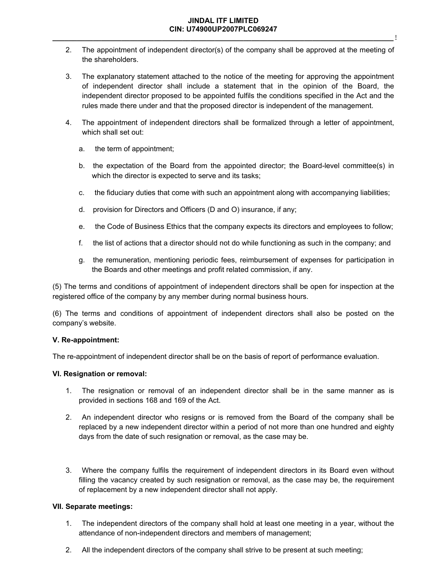### **JINDAL ITF LIMITED CIN: U74900UP2007PLC069247 \_\_\_\_\_\_\_\_\_\_\_\_\_\_\_\_\_\_\_\_\_\_\_\_\_\_\_\_\_\_\_\_\_\_\_\_\_\_\_\_\_\_\_\_\_\_\_\_\_\_\_\_\_\_\_\_\_\_\_\_\_\_\_\_\_\_\_\_\_\_\_\_\_\_\_\_\_\_\_\_\_\_\_\_**!

- 2. The appointment of independent director(s) of the company shall be approved at the meeting of the shareholders.
- 3. The explanatory statement attached to the notice of the meeting for approving the appointment of independent director shall include a statement that in the opinion of the Board, the independent director proposed to be appointed fulfils the conditions specified in the Act and the rules made there under and that the proposed director is independent of the management.
- 4. The appointment of independent directors shall be formalized through a letter of appointment, which shall set out:
	- a. the term of appointment;
	- b. the expectation of the Board from the appointed director; the Board-level committee(s) in which the director is expected to serve and its tasks;
	- c. the fiduciary duties that come with such an appointment along with accompanying liabilities;
	- d. provision for Directors and Officers (D and O) insurance, if any;
	- e. the Code of Business Ethics that the company expects its directors and employees to follow;
	- f. the list of actions that a director should not do while functioning as such in the company; and
	- g. the remuneration, mentioning periodic fees, reimbursement of expenses for participation in the Boards and other meetings and profit related commission, if any.

(5) The terms and conditions of appointment of independent directors shall be open for inspection at the registered office of the company by any member during normal business hours.

(6) The terms and conditions of appointment of independent directors shall also be posted on the company's website.

### **V. Re-appointment:**

The re-appointment of independent director shall be on the basis of report of performance evaluation.

### **VI. Resignation or removal:**

- 1. The resignation or removal of an independent director shall be in the same manner as is provided in sections 168 and 169 of the Act.
- 2. An independent director who resigns or is removed from the Board of the company shall be replaced by a new independent director within a period of not more than one hundred and eighty days from the date of such resignation or removal, as the case may be.
- 3. Where the company fulfils the requirement of independent directors in its Board even without filling the vacancy created by such resignation or removal, as the case may be, the requirement of replacement by a new independent director shall not apply.

# **VII. Separate meetings:**

- 1. The independent directors of the company shall hold at least one meeting in a year, without the attendance of non-independent directors and members of management;
- 2. All the independent directors of the company shall strive to be present at such meeting;